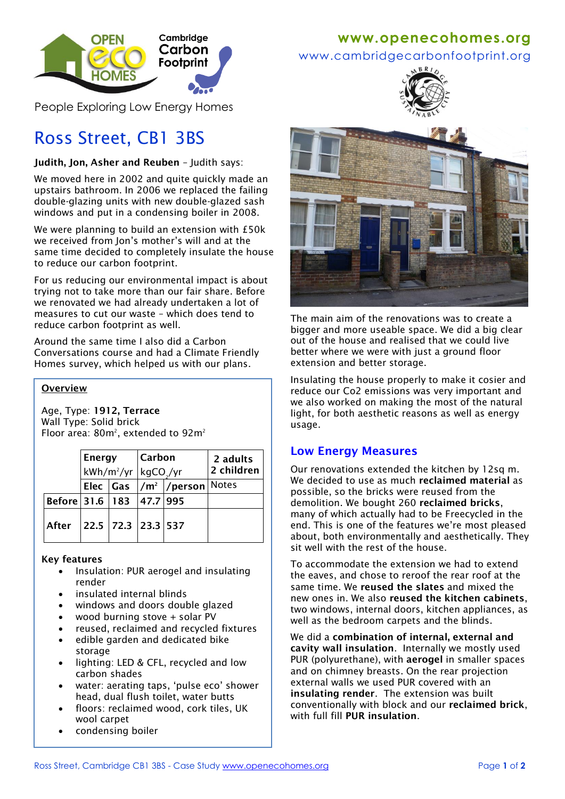

People Exploring Low Energy Homes

# Ross Street, CB1 3BS

## **Judith, Jon, Asher and Reuben** – Judith says:

We moved here in 2002 and quite quickly made an upstairs bathroom. In 2006 we replaced the failing double-glazing units with new double-glazed sash windows and put in a condensing boiler in 2008.

We were planning to build an extension with £50k we received from Jon's mother's will and at the same time decided to completely insulate the house to reduce our carbon footprint.

For us reducing our environmental impact is about trying not to take more than our fair share. Before we renovated we had already undertaken a lot of measures to cut our waste – which does tend to reduce carbon footprint as well.

Around the same time I also did a Carbon Conversations course and had a Climate Friendly Homes survey, which helped us with our plans.

### **Overview**

Age, Type: **1912, Terrace** Wall Type: Solid brick Floor area:  $80m^2$ , extended to  $92m^2$ 

|                                | Energy<br>$kWh/m^2/yr$ kgCO <sub>2</sub> /yr |  | Carbon |                                               | 2 adults<br>2 children |
|--------------------------------|----------------------------------------------|--|--------|-----------------------------------------------|------------------------|
|                                |                                              |  |        | Elec $\int$ Gas $\frac{1}{m^2}$ /person Notes |                        |
| Before 31.6   183   47.7   995 |                                              |  |        |                                               |                        |
| After                          | 22.5 72.3 23.3 537                           |  |        |                                               |                        |

### **Key features**

- Insulation: PUR aerogel and insulating render
- insulated internal blinds
- windows and doors double glazed
- wood burning stove + solar PV
- reused, reclaimed and recycled fixtures
- edible garden and dedicated bike storage
- lighting: LED & CFL, recycled and low carbon shades
- water: aerating taps, 'pulse eco' shower head, dual flush toilet, water butts
- floors: reclaimed wood, cork tiles, UK wool carpet
- condensing boiler

## **www[.openecohomes.org](http://www.openecohomes.org/)**

www.cambridgecarbonfootprint.org





The main aim of the renovations was to create a bigger and more useable space. We did a big clear out of the house and realised that we could live better where we were with just a ground floor extension and better storage.

Insulating the house properly to make it cosier and reduce our Co2 emissions was very important and we also worked on making the most of the natural light, for both aesthetic reasons as well as energy usage.

## **Low Energy Measures**

Our renovations extended the kitchen by 12sq m. We decided to use as much **reclaimed material** as possible, so the bricks were reused from the demolition. We bought 260 **reclaimed bricks**, many of which actually had to be Freecycled in the end. This is one of the features we're most pleased about, both environmentally and aesthetically. They sit well with the rest of the house.

To accommodate the extension we had to extend the eaves, and chose to reroof the rear roof at the same time. We **reused the slates** and mixed the new ones in. We also **reused the kitchen cabinets**, two windows, internal doors, kitchen appliances, as well as the bedroom carpets and the blinds.

We did a **combination of internal, external and cavity wall insulation**. Internally we mostly used PUR (polyurethane), with **aerogel** in smaller spaces and on chimney breasts. On the rear projection external walls we used PUR covered with an **insulating render**. The extension was built conventionally with block and our **reclaimed brick**, with full fill **PUR insulation**.